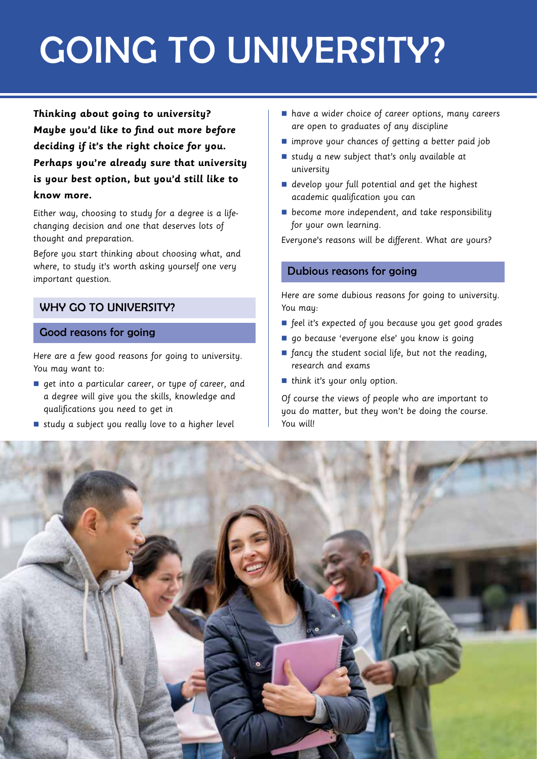# GOING TO UNIVERSITY?

**Thinking about going to university? Maybe you'd like to find out more before deciding if it's the right choice for you. Perhaps you're already sure that university is your best option, but you'd still like to know more.** 

Either way, choosing to study for a degree is a lifechanging decision and one that deserves lots of thought and preparation.

Before you start thinking about choosing what, and where, to study it's worth asking yourself one very important question.

## WHY GO TO UNIVERSITY?

## Good reasons for going

Here are a few good reasons for going to university. You may want to:

- **n** get into a particular career, or type of career, and a degree will give you the skills, knowledge and qualifications you need to get in
- study a subject you really love to a higher level
- n have a wider choice of career options, many careers are open to graduates of any discipline
- $\blacksquare$  improve your chances of getting a better paid job
- study a new subject that's only available at university
- $\blacksquare$  develop your full potential and get the highest academic qualification you can
- $\blacksquare$  become more independent, and take responsibility for your own learning.

Everyone's reasons will be different. What are yours?

## Dubious reasons for going

Here are some dubious reasons for going to university. You may:

- feel it's expected of you because you get good grades
- go because 'everyone else' you know is going
- $\blacksquare$  fancy the student social life, but not the reading, research and exams
- $\blacksquare$  think it's your only option.

Of course the views of people who are important to you do matter, but they won't be doing the course. You will!

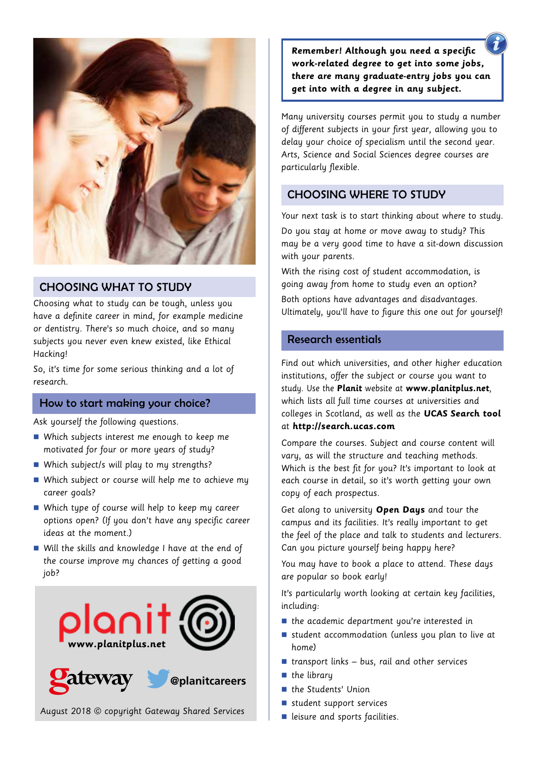

## CHOOSING WHAT TO STUDY

Choosing what to study can be tough, unless you have a definite career in mind, for example medicine or dentistry. There's so much choice, and so many subjects you never even knew existed, like Ethical Hacking!

So, it's time for some serious thinking and a lot of research.

## How to start making your choice?

Ask yourself the following questions.

- Which subjects interest me enough to keep me motivated for four or more years of study?
- $\blacksquare$  Which subject/s will play to my strengths?
- $\blacksquare$  Which subject or course will help me to achieve my career goals?
- $\blacksquare$  Which type of course will help to keep my career options open? (If you don't have any specific career ideas at the moment.)
- $\blacksquare$  Will the skills and knowledge I have at the end of the course improve my chances of getting a good job?



August 2018 © copyright Gateway Shared Services

**Remember! Although you need a specific work-related degree to get into some jobs, there are many graduate-entry jobs you can get into with a degree in any subject.** 

Many university courses permit you to study a number of different subjects in your first year, allowing you to delay your choice of specialism until the second year. Arts, Science and Social Sciences degree courses are particularly flexible.

## CHOOSING WHERE TO STUDY

Your next task is to start thinking about where to study. Do you stay at home or move away to study? This may be a very good time to have a sit-down discussion with your parents.

With the rising cost of student accommodation, is going away from home to study even an option? Both options have advantages and disadvantages. Ultimately, you'll have to figure this one out for yourself!

### Research essentials

Find out which universities, and other higher education institutions, offer the subject or course you want to study. Use the **Planit** website at **www.planitplus.net**, which lists all full time courses at universities and colleges in Scotland, as well as the **UCAS Search tool**  at **http://search.ucas.com**

Compare the courses. Subject and course content will vary, as will the structure and teaching methods. Which is the best fit for you? It's important to look at each course in detail, so it's worth getting your own copy of each prospectus.

Get along to university **Open Days** and tour the campus and its facilities. It's really important to get the feel of the place and talk to students and lecturers. Can you picture yourself being happy here?

You may have to book a place to attend. These days are popular so book early!

It's particularly worth looking at certain key facilities, including:

- $\blacksquare$  the academic department you're interested in
- $\blacksquare$  student accommodation (unless you plan to live at home)
- $\blacksquare$  transport links bus, rail and other services
- $\blacksquare$  the library
- the Students' Union
- $\blacksquare$  student support services
- $\blacksquare$  leisure and sports facilities.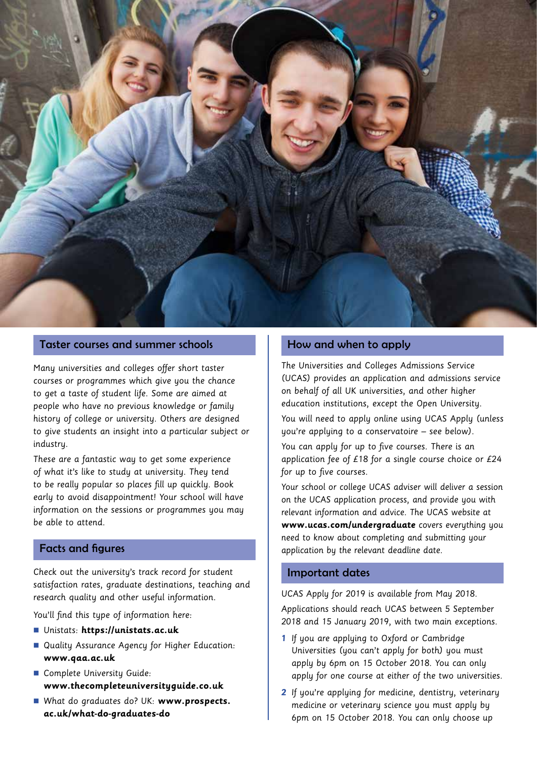

#### Taster courses and summer schools

Many universities and colleges offer short taster courses or programmes which give you the chance to get a taste of student life. Some are aimed at people who have no previous knowledge or family history of college or university. Others are designed to give students an insight into a particular subject or industry.

These are a fantastic way to get some experience of what it's like to study at university. They tend to be really popular so places fill up quickly. Book early to avoid disappointment! Your school will have information on the sessions or programmes you may be able to attend.

## Facts and figures

Check out the university's track record for student satisfaction rates, graduate destinations, teaching and research quality and other useful information.

You'll find this type of information here:

- n Unistats: **https://unistats.ac.uk**
- Quality Assurance Agency for Higher Education: **www.qaa.ac.uk**
- Complete University Guide: **www.thecompleteuniversityguide.co.uk**
- n What do graduates do? UK: **www.prospects. ac.uk/what-do-graduates-do**

#### How and when to apply

The Universities and Colleges Admissions Service (UCAS) provides an application and admissions service on behalf of all UK universities, and other higher education institutions, except the Open University.

You will need to apply online using UCAS Apply (unless you're applying to a conservatoire – see below).

You can apply for up to five courses. There is an application fee of £18 for a single course choice or £24 for up to five courses.

Your school or college UCAS adviser will deliver a session on the UCAS application process, and provide you with relevant information and advice. The UCAS website at **www.ucas.com/undergraduate** covers everything you need to know about completing and submitting your application by the relevant deadline date.

#### Important dates

UCAS Apply for 2019 is available from May 2018.

Applications should reach UCAS between 5 September 2018 and 15 January 2019, with two main exceptions.

- **1** If you are applying to Oxford or Cambridge Universities (you can't apply for both) you must apply by 6pm on 15 October 2018. You can only apply for one course at either of the two universities.
- **2** If you're applying for medicine, dentistry, veterinary medicine or veterinary science you must apply by 6pm on 15 October 2018. You can only choose up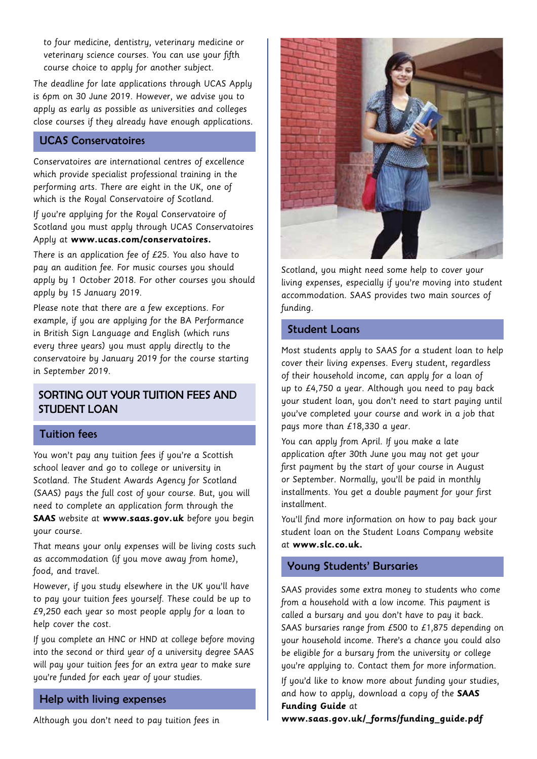to four medicine, dentistry, veterinary medicine or veterinary science courses. You can use your fifth course choice to apply for another subject.

The deadline for late applications through UCAS Apply is 6pm on 30 June 2019. However, we advise you to apply as early as possible as universities and colleges close courses if they already have enough applications.

### UCAS Conservatoires

Conservatoires are international centres of excellence which provide specialist professional training in the performing arts. There are eight in the UK, one of which is the Royal Conservatoire of Scotland.

If you're applying for the Royal Conservatoire of Scotland you must apply through UCAS Conservatoires Apply at **www.ucas.com/conservatoires.** 

There is an application fee of £25. You also have to pay an audition fee. For music courses you should apply by 1 October 2018. For other courses you should apply by 15 January 2019.

Please note that there are a few exceptions. For example, if you are applying for the BA Performance in British Sign Language and English (which runs every three years) you must apply directly to the conservatoire by January 2019 for the course starting in September 2019.

## SORTING OUT YOUR TUITION FEES AND STUDENT LOAN

#### Tuition fees

You won't pay any tuition fees if you're a Scottish school leaver and go to college or university in Scotland. The Student Awards Agency for Scotland (SAAS) pays the full cost of your course. But, you will need to complete an application form through the **SAAS** website at **www.saas.gov.uk** before you begin your course.

That means your only expenses will be living costs such as accommodation (if you move away from home), food, and travel.

However, if you study elsewhere in the UK you'll have to pay your tuition fees yourself. These could be up to £9,250 each year so most people apply for a loan to help cover the cost.

If you complete an HNC or HND at college before moving into the second or third year of a university degree SAAS will pay your tuition fees for an extra year to make sure you're funded for each year of your studies.

#### Help with living expenses

Although you don't need to pay tuition fees in



Scotland, you might need some help to cover your living expenses, especially if you're moving into student accommodation. SAAS provides two main sources of funding.

#### Student Loans

Most students apply to SAAS for a student loan to help cover their living expenses. Every student, regardless of their household income, can apply for a loan of up to £4,750 a year. Although you need to pay back your student loan, you don't need to start paying until you've completed your course and work in a job that pays more than £18,330 a year.

You can apply from April. If you make a late application after 30th June you may not get your first payment by the start of your course in August or September. Normally, you'll be paid in monthly installments. You get a double payment for your first installment.

You'll find more information on how to pay back your student loan on the Student Loans Company website at **www.slc.co.uk.** 

## Young Students' Bursaries

SAAS provides some extra money to students who come from a household with a low income. This payment is called a bursary and you don't have to pay it back. SAAS bursaries range from £500 to £1,875 depending on your household income. There's a chance you could also be eligible for a bursary from the university or college you're applying to. Contact them for more information.

If you'd like to know more about funding your studies, and how to apply, download a copy of the **SAAS Funding Guide** at

**www.saas.gov.uk/\_forms/funding\_guide.pdf**